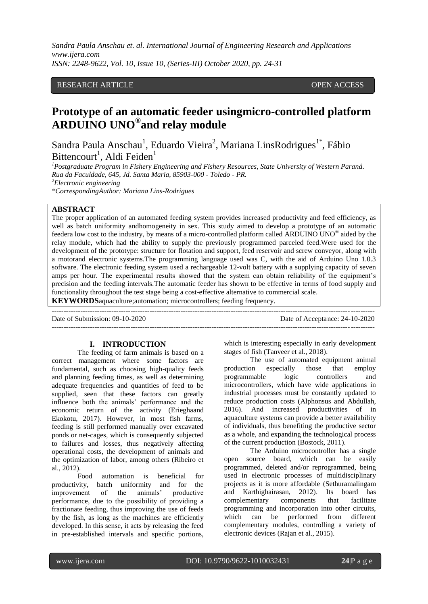# RESEARCH ARTICLE **CONSERVERS** OPEN ACCESS

# **Prototype of an automatic feeder usingmicro-controlled platform ARDUINO UNO® and relay module**

Sandra Paula Anschau<sup>1</sup>, Eduardo Vieira<sup>2</sup>, Mariana LinsRodrigues<sup>1\*</sup>, Fábio Bittencourt<sup>1</sup>, Aldi Feiden<sup>1</sup>

*1 Postgraduate Program in Fishery Engineering and Fishery Resources, State University of Western Paraná. Rua da Faculdade, 645, Jd. Santa Maria, 85903-000 - Toledo - PR. <sup>2</sup>Electronic engineering*

*\*CorrespondingAuthor: Mariana Lins-Rodrigues*

# **ABSTRACT**

The proper application of an automated feeding system provides increased productivity and feed efficiency, as well as batch uniformity andhomogeneity in sex. This study aimed to develop a prototype of an automatic feedera low cost to the industry, by means of a micro-controlled platform called ARDUINO UNO® aided by the relay module, which had the ability to supply the previously programmed parceled feed.Were used for the development of the prototype: structure for flotation and support, feed reservoir and screw conveyor, along with a motorand electronic systems.The programming language used was C, with the aid of Arduino Uno 1.0.3 software. The electronic feeding system used a rechargeable 12-volt battery with a supplying capacity of seven amps per hour. The experimental results showed that the system can obtain reliability of the equipment's precision and the feeding intervals.The automatic feeder has shown to be effective in terms of food supply and functionality throughout the test stage being a cost-effective alternative to commercial scale.

**KEYWORDS**aquaculture;automation; microcontrollers; feeding frequency.

---------------------------------------------------------------------------------------------------------------------------------------

Date of Acceptance: 24-10-2020 ---------------------------------------------------------------------------------------------------------------------------------------

#### **I. INTRODUCTION**

The feeding of farm animals is based on a correct management where some factors are fundamental, such as choosing high-quality feeds and planning feeding times, as well as determining adequate frequencies and quantities of feed to be supplied, seen that these factors can greatly influence both the animals' performance and the economic return of the activity (Erieghaand Ekokotu, 2017). However, in most fish farms, feeding is still performed manually over excavated ponds or net-cages, which is consequently subjected to failures and losses, thus negatively affecting operational costs, the development of animals and the optimization of labor, among others (Ribeiro et al., 2012).

Food automation is beneficial for productivity, batch uniformity and for the improvement of the animals' productive performance, due to the possibility of providing a fractionate feeding, thus improving the use of feeds by the fish, as long as the machines are efficiently developed. In this sense, it acts by releasing the feed in pre-established intervals and specific portions, which is interesting especially in early development stages of fish (Tanveer et al., 2018).

The use of automated equipment animal production especially those that employ programmable logic controllers and microcontrollers, which have wide applications in industrial processes must be constantly updated to reduce production costs (Alphonsus and Abdullah, 2016). And increased productivities of in aquaculture systems can provide a better availability of individuals, thus benefiting the productive sector as a whole, and expanding the technological process of the current production (Bostock, 2011).

The Arduino microcontroller has a single open source board, which can be easily programmed, deleted and/or reprogrammed, being used in electronic processes of multidisciplinary projects as it is more affordable (Sethuramalingam and Karthighairasan, 2012). Its board has complementary components that facilitate programming and incorporation into other circuits, which can be performed from different complementary modules, controlling a variety of electronic devices (Rajan et al., 2015).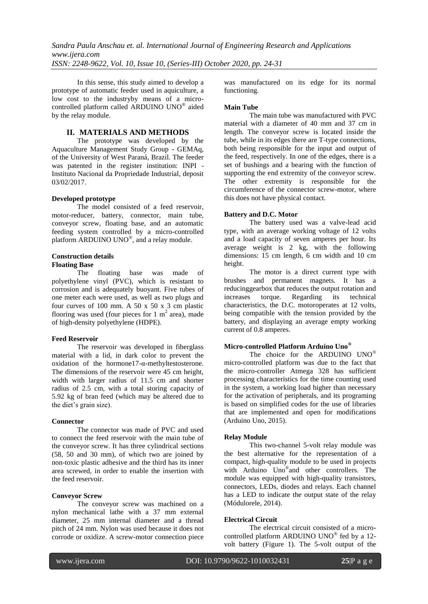In this sense, this study aimed to develop a prototype of automatic feeder used in aquiculture, a low cost to the industryby means of a microcontrolled platform called ARDUINO UNO® aided by the relay module.

#### **II. MATERIALS AND METHODS**

The prototype was developed by the Aquaculture Management Study Group - GEMAq, of the University of West Paraná, Brazil. The feeder was patented in the register institution: INPI - Instituto Nacional da Propriedade Industrial, deposit 03/02/2017.

#### **Developed prototype**

The model consisted of a feed reservoir, motor-reducer, battery, connector, main tube, conveyor screw, floating base, and an automatic feeding system controlled by a micro-controlled platform ARDUINO UNO®, and a relay module.

# **Construction details**

# **Floating Base**

The floating base was made of polyethylene vinyl (PVC), which is resistant to corrosion and is adequately buoyant. Five tubes of one meter each were used, as well as two plugs and four curves of 100 mm. A 50 x 50 x 3 cm plastic flooring was used (four pieces for 1  $m<sup>2</sup>$  area), made of high-density polyethylene (HDPE).

#### **Feed Reservoir**

The reservoir was developed in fiberglass material with a lid, in dark color to prevent the oxidation of the hormone17-α-methyltestosterone. The dimensions of the reservoir were 45 cm height, width with larger radius of 11.5 cm and shorter radius of 2.5 cm, with a total storing capacity of 5.92 kg of bran feed (which may be altered due to the diet's grain size).

# **Connector**

The connector was made of PVC and used to connect the feed reservoir with the main tube of the conveyor screw. It has three cylindrical sections (58, 50 and 30 mm), of which two are joined by non-toxic plastic adhesive and the third has its inner area screwed, in order to enable the insertion with the feed reservoir.

#### **Conveyor Screw**

The conveyor screw was machined on a nylon mechanical lathe with a 37 mm external diameter, 25 mm internal diameter and a thread pitch of 24 mm. Nylon was used because it does not corrode or oxidize. A screw-motor connection piece was manufactured on its edge for its normal functioning.

#### **Main Tube**

The main tube was manufactured with PVC material with a diameter of 40 mm and 37 cm in length. The conveyor screw is located inside the tube, while in its edges there are T-type connections, both being responsible for the input and output of the feed, respectively. In one of the edges, there is a set of bushings and a bearing with the function of supporting the end extremity of the conveyor screw. The other extremity is responsible for the circumference of the connector screw-motor, where this does not have physical contact.

#### **Battery and D.C. Motor**

The battery used was a valve-lead acid type, with an average working voltage of 12 volts and a load capacity of seven amperes per hour. Its average weight is 2 kg, with the following dimensions: 15 cm length, 6 cm width and 10 cm height.

The motor is a direct current type with brushes and permanent magnets. It has a reducinggearbox that reduces the output rotation and increases torque. Regarding its technical characteristics, the D.C. motoroperates at 12 volts, being compatible with the tension provided by the battery, and displaying an average empty working current of 0.8 amperes.

## **Micro-controlled Platform Arduino Uno®**

The choice for the ARDUINO UNO<sup>®</sup> micro-controlled platform was due to the fact that the micro-controller Atmega 328 has sufficient processing characteristics for the time counting used in the system, a working load higher than necessary for the activation of peripherals, and its programing is based on simplified codes for the use of libraries that are implemented and open for modifications (Arduino Uno, 2015).

#### **Relay Module**

This two-channel 5-volt relay module was the best alternative for the representation of a compact, high-quality module to be used in projects with Arduino Uno® and other controllers. The module was equipped with high-quality transistors, connectors, LEDs, diodes and relays. Each channel has a LED to indicate the output state of the relay (Módulorele, 2014).

#### **Electrical Circuit**

The electrical circuit consisted of a microcontrolled platform ARDUINO UNO® fed by a 12volt battery (Figure 1). The 5-volt output of the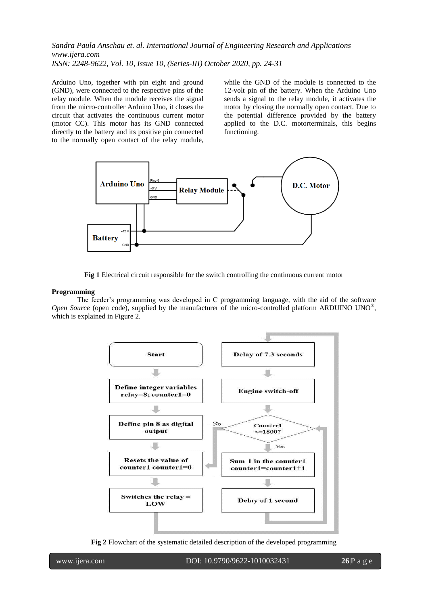Arduino Uno, together with pin eight and ground (GND), were connected to the respective pins of the relay module. When the module receives the signal from the micro-controller Arduino Uno, it closes the circuit that activates the continuous current motor (motor CC). This motor has its GND connected directly to the battery and its positive pin connected to the normally open contact of the relay module, while the GND of the module is connected to the 12-volt pin of the battery. When the Arduino Uno sends a signal to the relay module, it activates the motor by closing the normally open contact. Due to the potential difference provided by the battery applied to the D.C. motorterminals, this begins functioning.



**Fig 1** Electrical circuit responsible for the switch controlling the continuous current motor

#### **Programming**

The feeder's programming was developed in C programming language, with the aid of the software Open Source (open code), supplied by the manufacturer of the micro-controlled platform ARDUINO UNO®, which is explained in Figure 2.



**Fig 2** Flowchart of the systematic detailed description of the developed programming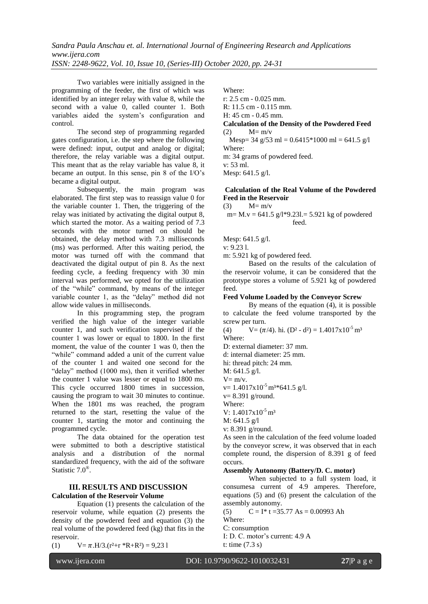Two variables were initially assigned in the programming of the feeder, the first of which was identified by an integer relay with value 8, while the second with a value 0, called counter 1. Both variables aided the system's configuration and control.

The second step of programming regarded gates configuration, i.e. the step where the following were defined: input, output and analog or digital; therefore, the relay variable was a digital output. This meant that as the relay variable has value 8, it became an output. In this sense, pin 8 of the I/O's became a digital output.

Subsequently, the main program was elaborated. The first step was to reassign value 0 for the variable counter 1. Then, the triggering of the relay was initiated by activating the digital output 8, which started the motor. As a waiting period of 7.3 seconds with the motor turned on should be obtained, the delay method with 7.3 milliseconds (ms) was performed. After this waiting period, the motor was turned off with the command that deactivated the digital output of pin 8. As the next feeding cycle, a feeding frequency with 30 min interval was performed, we opted for the utilization of the "while" command, by means of the integer variable counter 1, as the "delay" method did not allow wide values in milliseconds.

In this programming step, the program verified the high value of the integer variable counter 1, and such verification supervised if the counter 1 was lower or equal to 1800. In the first moment, the value of the counter 1 was 0, then the "while" command added a unit of the current value of the counter 1 and waited one second for the "delay" method (1000 ms), then it verified whether the counter 1 value was lesser or equal to 1800 ms. This cycle occurred 1800 times in succession, causing the program to wait 30 minutes to continue. When the 1801 ms was reached, the program returned to the start, resetting the value of the counter 1, starting the motor and continuing the programmed cycle.

The data obtained for the operation test were submitted to both a descriptive statistical analysis and a distribution of the normal standardized frequency, with the aid of the software Statistic 7.0<sup>®</sup>.

#### **III. RESULTS AND DISCUSSION Calculation of the Reservoir Volume**

Equation (1) presents the calculation of the reservoir volume, while equation (2) presents the density of the powdered feed and equation (3) the real volume of the powdered feed (kg) that fits in the reservoir.

(1)  $V = \pi .H/3.(r^2+r *R+R^2) = 9,231$ 

Where:

r: 2.5 cm - 0.025 mm.

R: 11.5 cm - 0.115 mm.

H: 45 cm - 0.45 mm.

# **Calculation of the Density of the Powdered Feed**  $(2)$   $M=m/v$

 $M = m/v$ 

Mesp= 34 g/53 ml =  $0.6415*1000$  ml =  $641.5$  g/l Where:

m: 34 grams of powdered feed.

v: 53 ml.

Mesp: 641.5 g/l.

# **Calculation of the Real Volume of the Powdered Feed in the Reservoir**

(3)  $M = m/v$ 

m=  $M.v = 641.5$  g/l\*9.231.= 5.921 kg of powdered feed.

Mesp: 641.5 g/l.

v: 9.23 l.

m: 5.921 kg of powdered feed.

Based on the results of the calculation of the reservoir volume, it can be considered that the prototype stores a volume of 5.921 kg of powdered feed.

# **Feed Volume Loaded by the Conveyor Screw**

By means of the equation (4), it is possible to calculate the feed volume transported by the screw per turn.

(4) 
$$
V = (\pi/4)
$$
. hi. (D<sup>2</sup> - d<sup>2</sup>) = 1.4017x10<sup>-5</sup> m<sup>3</sup>  
Where:

D: external diameter: 37 mm.

d: internal diameter: 25 mm.

hi: thread pitch: 24 mm.

M: 641.5 g/l.

 $V = m/v$ .

v=  $1.4017x10^{-5}$  m<sup>3\*</sup>641.5 g/l.

v= 8.391 g/round.

Where:

V:  $1.4017x10^{-5}$  m<sup>3</sup>

M: 641.5 g/l

v: 8.391 g/round.

As seen in the calculation of the feed volume loaded by the conveyor screw, it was observed that in each complete round, the dispersion of 8.391 g of feed occurs.

# **Assembly Autonomy (Battery/D. C. motor)**

When subjected to a full system load, it consumesa current of 4.9 amperes. Therefore, equations (5) and (6) present the calculation of the assembly autonomy.

(5)  $C = I^* t = 35.77 As = 0.00993 Ah$ Where: C: consumption I: D. C. motor's current: 4.9 A

t: time (7.3 s)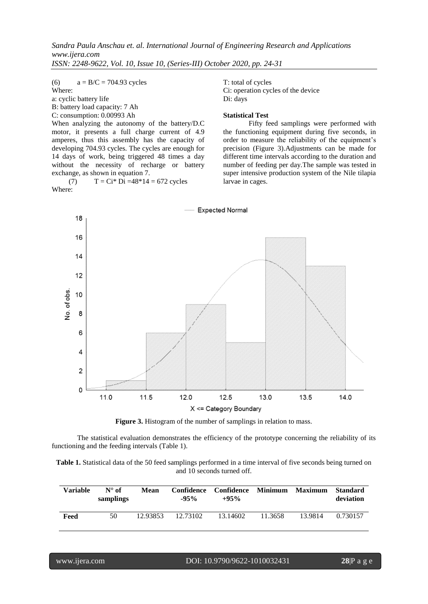(6)  $a = B/C = 704.93$  cycles

Where:

a: cyclic battery life

B: battery load capacity: 7 Ah

C: consumption: 0.00993 Ah

When analyzing the autonomy of the battery/D.C motor, it presents a full charge current of 4.9 amperes, thus this assembly has the capacity of developing 704.93 cycles. The cycles are enough for 14 days of work, being triggered 48 times a day without the necessity of recharge or battery exchange, as shown in equation 7.

(7)  $T = Ci^* Di = 48*14 = 672$  cycles Where:

T: total of cycles Ci: operation cycles of the device Di: days

# **Statistical Test**

Fifty feed samplings were performed with the functioning equipment during five seconds, in order to measure the reliability of the equipment's precision (Figure 3).Adjustments can be made for different time intervals according to the duration and number of feeding per day.The sample was tested in super intensive production system of the Nile tilapia larvae in cages.





The statistical evaluation demonstrates the efficiency of the prototype concerning the reliability of its functioning and the feeding intervals (Table 1).

**Table 1.** Statistical data of the 50 feed samplings performed in a time interval of five seconds being turned on and 10 seconds turned off.

| Variable | $N^{\circ}$ of<br>samplings | <b>Mean</b> | $-95\%$  | Confidence Confidence Minimum Maximum<br>$+95%$ |         |         | <b>Standard</b><br>deviation |
|----------|-----------------------------|-------------|----------|-------------------------------------------------|---------|---------|------------------------------|
| Feed     | 50                          | 12.93853    | 12.73102 | 13.14602                                        | 11.3658 | 13.9814 | 0.730157                     |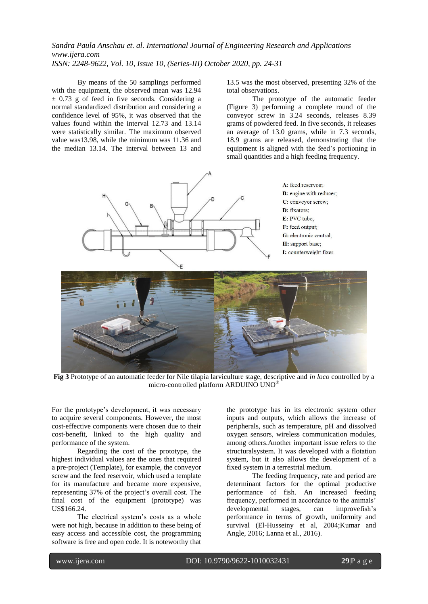By means of the 50 samplings performed with the equipment, the observed mean was 12.94  $\pm$  0.73 g of feed in five seconds. Considering a normal standardized distribution and considering a confidence level of 95%, it was observed that the values found within the interval 12.73 and 13.14 were statistically similar. The maximum observed value was13.98, while the minimum was 11.36 and the median 13.14. The interval between 13 and

13.5 was the most observed, presenting 32% of the total observations.

The prototype of the automatic feeder (Figure 3) performing a complete round of the conveyor screw in 3.24 seconds, releases 8.39 grams of powdered feed. In five seconds, it releases an average of 13.0 grams, while in 7.3 seconds, 18.9 grams are released, demonstrating that the equipment is aligned with the feed's portioning in small quantities and a high feeding frequency.







**Fig 3** Prototype of an automatic feeder for Nile tilapia larviculture stage, descriptive and *in loco* controlled by a micro-controlled platform ARDUINO UNO®

For the prototype's development, it was necessary to acquire several components. However, the most cost-effective components were chosen due to their cost-benefit, linked to the high quality and performance of the system.

Regarding the cost of the prototype, the highest individual values are the ones that required a pre-project (Template), for example, the conveyor screw and the feed reservoir, which used a template for its manufacture and became more expensive, representing 37% of the project's overall cost. The final cost of the equipment (prototype) was US\$166.24.

The electrical system's costs as a whole were not high, because in addition to these being of easy access and accessible cost, the programming software is free and open code. It is noteworthy that

the prototype has in its electronic system other inputs and outputs, which allows the increase of peripherals, such as temperature, pH and dissolved oxygen sensors, wireless communication modules, among others.Another important issue refers to the structuralsystem. It was developed with a flotation system, but it also allows the development of a fixed system in a terrestrial medium.

The feeding frequency, rate and period are determinant factors for the optimal productive performance of fish. An increased feeding frequency, performed in accordance to the animals' developmental stages, can improvefish's performance in terms of growth, uniformity and survival (El-Husseiny et al, 2004;Kumar and Angle, 2016; Lanna et al., 2016).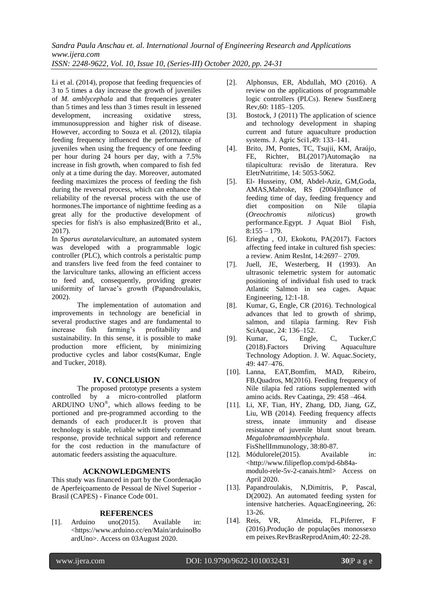*Sandra Paula Anschau et. al. International Journal of Engineering Research and Applications www.ijera.com*

*ISSN: 2248-9622, Vol. 10, Issue 10, (Series-III) October 2020, pp. 24-31*

Li et al. (2014), propose that feeding frequencies of 3 to 5 times a day increase the growth of juveniles of *M. amblycephala* and that frequencies greater than 5 times and less than 3 times result in lessened development, increasing oxidative stress, immunosuppression and higher risk of disease. However, according to Souza et al. (2012), tilapia feeding frequency influenced the performance of juveniles when using the frequency of one feeding per hour during 24 hours per day, with a 7.5% increase in fish growth, when compared to fish fed only at a time during the day. Moreover, automated feeding maximizes the process of feeding the fish during the reversal process, which can enhance the reliability of the reversal process with the use of hormones.The importance of nighttime feeding as a great ally for the productive development of species for fish's is also emphasized(Brito et al., 2017).

In *Sparus aurata*larviculture, an automated system was developed with a programmable logic controller (PLC), which controls a peristaltic pump and transfers live feed from the feed container to the larviculture tanks, allowing an efficient access to feed and, consequently, providing greater uniformity of larvae's growth (Papandroulakis, 2002).

The implementation of automation and improvements in technology are beneficial in several productive stages and are fundamental to increase fish farming's profitability and sustainability. In this sense, it is possible to make production more efficient, by minimizing productive cycles and labor costs(Kumar, Engle and Tucker, 2018).

# **IV. CONCLUSION**

The proposed prototype presents a system controlled by a micro-controlled platform ARDUINO UNO® , which allows feeding to be portioned and pre-programmed according to the demands of each producer.It is proven that technology is stable, reliable with timely command response, provide technical support and reference for the cost reduction in the manufacture of automatic feeders assisting the aquaculture.

# **ACKNOWLEDGMENTS**

This study was financed in part by the Coordenação de Aperfeiçoamento de Pessoal de Nível Superior - Brasil (CAPES) - Finance Code 001.

# **REFERENCES**

[1]. Arduino uno(2015). Available in: <https://www.arduino.cc/en/Main/arduinoBo ardUno>. Access on 03August 2020.

- [2]. Alphonsus, ER, Abdullah, MO (2016). A review on the applications of programmable logic controllers (PLCs). Renew SustEnerg Rev,60: 1185–1205.
- [3]. Bostock, J (2011) The application of science and technology development in shaping current and future aquaculture production systems. J. Agric Sci1,49: 133–141.
- [4]. Brito, JM, Pontes, TC, Tsujii, KM, Araújo, FE, Richter, BL(2017)Automação na tilapicultura: revisão de literatura. Rev EletrNutritime, 14: 5053-5062.
- [5]. El- Husseiny, OM, Abdel-Aziz, GM,Goda, AMAS,Mabroke, RS (2004)Influnce of feeding time of day, feeding frequency and diet composition on Nile tilapia (*Oreochromis niloticus*) growth performance.Egypt. J Aquat Biol Fish,  $8:155 - 179.$
- [6]. Eriegha , OJ, Ekokotu, PA(2017). Factors affecting feed intake in cultured fish species: a review. Anim ResInt, 14:2697– 2709.
- [7]. Juell, JE, Westerberg, H (1993). An ultrasonic telemetric system for automatic positioning of individual fish used to track Atlantic Salmon in sea cages. Aquac Engineering, 12:1-18.
- [8]. Kumar, G, Engle, CR (2016). Technological advances that led to growth of shrimp, salmon, and tilapia farming. Rev Fish SciAquac, 24: 136–152.
- [9]. Kumar, G, Engle, C, Tucker,C (2018).Factors Driving Aquaculture Technology Adoption. J. W. Aquac.Society, 49: 447–476.
- [10]. Lanna, EAT,Bomfim, MAD, Ribeiro, FB,Quadros, M(2016). Feeding frequency of Nile tilapia fed rations supplemented with amino acids. Rev Caatinga, 29: 458 –464.
- [11]. Li, XF, Tian, HY, Zhang, DD, Jiang, GZ, Liu, WB (2014). Feeding frequency affects stress, innate immunity and disease resistance of juvenile blunt snout bream. *Megalobramaamblycephala*. FisShellImmunology, 38:80-87.
- [12]. Módulorele(2015). Available in: <http://www.filipeflop.com/pd-6b84amodulo-rele-5v-2-canais.html> Access on April 2020.
- [13]. Papandroulakis, N,Dimitris, P, Pascal, D(2002). An automated feeding systen for intensive hatcheries. AquacEngineering, 26: 13-26.
- [14]. Reis, VR, Almeida, FL,Piferrer, F (2016).Produção de populações monossexo em peixes.RevBrasReprodAnim,40: 22-28.